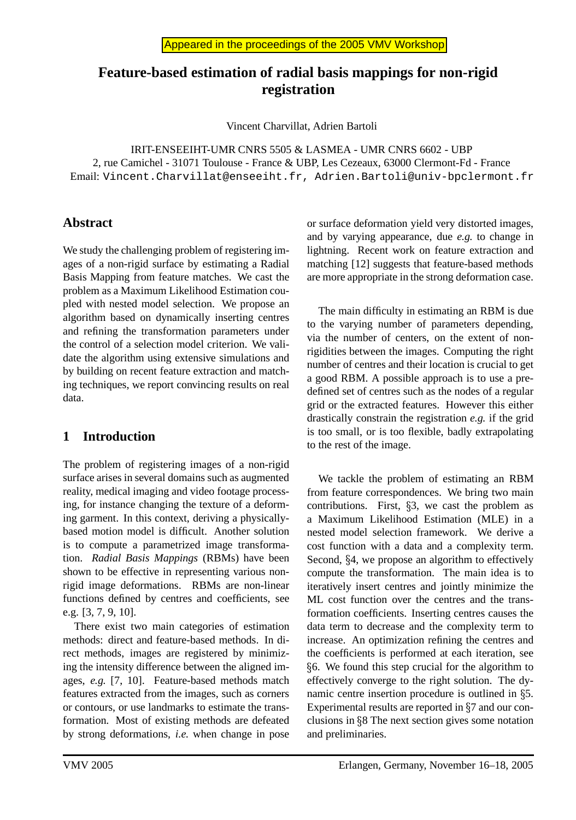# **Feature-based estimation of radial basis mappings for non-rigid registration**

Vincent Charvillat, Adrien Bartoli

IRIT-ENSEEIHT-UMR CNRS 5505 & LASMEA - UMR CNRS 6602 - UBP 2, rue Camichel - 31071 Toulouse - France & UBP, Les Cezeaux, 63000 Clermont-Fd - France Email: Vincent.Charvillat@enseeiht.fr, Adrien.Bartoli@univ-bpclermont.fr

## **Abstract**

We study the challenging problem of registering images of a non-rigid surface by estimating a Radial Basis Mapping from feature matches. We cast the problem as a Maximum Likelihood Estimation coupled with nested model selection. We propose an algorithm based on dynamically inserting centres and refining the transformation parameters under the control of a selection model criterion. We validate the algorithm using extensive simulations and by building on recent feature extraction and matching techniques, we report convincing results on real data.

## **1 Introduction**

The problem of registering images of a non-rigid surface arises in several domains such as augmented reality, medical imaging and video footage processing, for instance changing the texture of a deforming garment. In this context, deriving a physicallybased motion model is difficult. Another solution is to compute a parametrized image transformation. *Radial Basis Mappings* (RBMs) have been shown to be effective in representing various nonrigid image deformations. RBMs are non-linear functions defined by centres and coefficients, see e.g. [3, 7, 9, 10].

There exist two main categories of estimation methods: direct and feature-based methods. In direct methods, images are registered by minimizing the intensity difference between the aligned images, *e.g.* [7, 10]. Feature-based methods match features extracted from the images, such as corners or contours, or use landmarks to estimate the transformation. Most of existing methods are defeated by strong deformations, *i.e.* when change in pose or surface deformation yield very distorted images, and by varying appearance, due *e.g.* to change in lightning. Recent work on feature extraction and matching [12] suggests that feature-based methods are more appropriate in the strong deformation case.

The main difficulty in estimating an RBM is due to the varying number of parameters depending, via the number of centers, on the extent of nonrigidities between the images. Computing the right number of centres and their location is crucial to get a good RBM. A possible approach is to use a predefined set of centres such as the nodes of a regular grid or the extracted features. However this either drastically constrain the registration *e.g.* if the grid is too small, or is too flexible, badly extrapolating to the rest of the image.

We tackle the problem of estimating an RBM from feature correspondences. We bring two main contributions. First, 3, we cast the problem as a Maximum Likelihood Estimation (MLE) in a nested model selection framework. We derive a cost function with a data and a complexity term. Second, §4, we propose an algorithm to effectively compute the transformation. The main idea is to iteratively insert centres and jointly minimize the ML cost function over the centres and the transformation coefficients. Inserting centres causes the data term to decrease and the complexity term to increase. An optimization refining the centres and the coefficients is performed at each iteration, see 6. We found this step crucial for the algorithm to effectively converge to the right solution. The dynamic centre insertion procedure is outlined in 5. Experimental results are reported in 7 and our conclusions in 8 The next section gives some notation and preliminaries.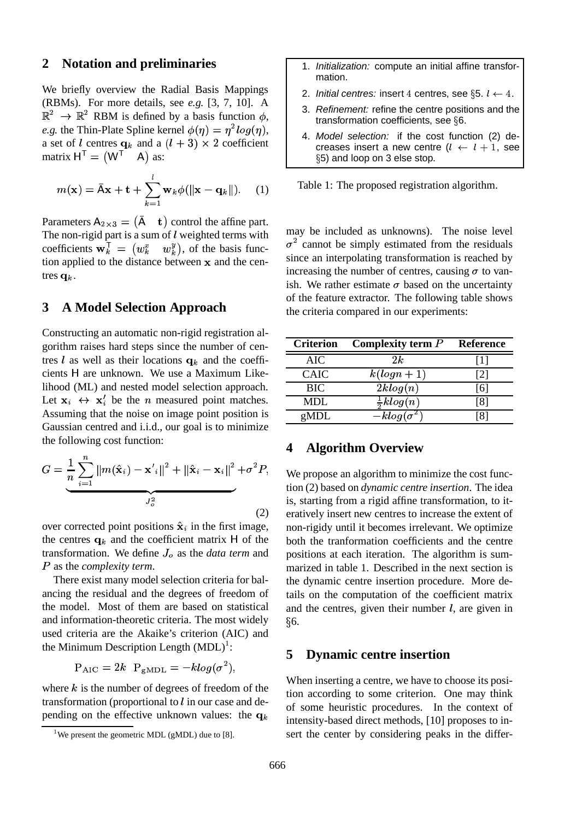#### **2 Notation and preliminaries**

We briefly overview the Radial Basis Mappings (RBMs). For more details, see *e.g.* [3, 7, 10]. A  $\mathbb{R}^2 \to \mathbb{R}^2$  RBM is defined by a basis function  $\phi$ , *e.g.* the Thin-Plate Spline kernel  $\phi(\eta) = \eta^2 log(\eta)$ , a set of l centres  $\mathbf{q}_k$  and a  $(l+3) \times 2$  coefficient matrix  $H^{\top} = (W^{\top} \quad A)$  as:

$$
m(\mathbf{x}) = \bar{\mathbf{A}}\mathbf{x} + \mathbf{t} + \sum_{k=1}^{l} \mathbf{w}_k \phi(||\mathbf{x} - \mathbf{q}_k||). \quad (1)
$$

Parameters  $A_{2\times 3} = (\bar{A} + \mathbf{t})$  control the affine part. The non-rigid part is a sum of  $l$  weighted terms with coefficients  $\mathbf{w}_k^{\mathsf{T}} = (w_k^x - w_k^y)$ , of the basis function applied to the distance between  $\bf{x}$  and the centres  $q_k$ .

#### **3 A Model Selection Approach**

Constructing an automatic non-rigid registration algorithm raises hard steps since the number of centres *l* as well as their locations  $q_k$  and the coefficients H are unknown. We use a Maximum Likelihood (ML) and nested model selection approach. Let  $\mathbf{x}_i \leftrightarrow \mathbf{x}'_i$  be the *n* measured point matches. Assuming that the noise on image point position is Gaussian centred and i.i.d., our goal is to minimize the following cost function:

$$
G = \underbrace{\frac{1}{n} \sum_{i=1}^{n} \|m(\hat{\mathbf{x}}_i) - \mathbf{x}'_i\|^2 + \|\hat{\mathbf{x}}_i - \mathbf{x}_i\|^2}_{J_Q^2} + \sigma^2 P,
$$
\n(2)

over corrected point positions  $\hat{\mathbf{x}}_i$  in the first image, the centres  $q_k$  and the coefficient matrix H of the transformation. We define  $J<sub>o</sub>$  as the *data term* and V as the *complexity term*.

There exist many model selection criteria for balancing the residual and the degrees of freedom of the model. Most of them are based on statistical and information-theoretic criteria. The most widely used criteria are the Akaike's criterion (AIC) and the Minimum Description Length  $(MDL)^1$ :

$$
\mathrm{P}_{\mathrm{AIC}} = 2k \ \ \mathrm{P}_{\mathrm{gMDL}} = -klog(\sigma^2),
$$

where  $k$  is the number of degrees of freedom of the transformation (proportional to  $l$  in our case and depending on the effective unknown values: the  $q_k$ 

- 1. Initialization: compute an initial affine transformation.
- 2. Initial centres: insert 4 centres, see §5.  $l \leftarrow 4$ .
- 3. Refinement: refine the centre positions and the transformation coefficients, see  $66$ .
- 4. Model selection: if the cost function (2) decreases insert a new centre  $(l + l + 1)$ . see 5) and loop on 3 else stop.

Table 1: The proposed registration algorithm.

may be included as unknowns). The noise level  $\sigma^2$  cannot be simply estimated from the residuals since an interpolating transformation is reached by increasing the number of centres, causing  $\sigma$  to vanish. We rather estimate  $\sigma$  based on the uncertainty of the feature extractor. The following table shows the criteria compared in our experiments:

| <b>Criterion</b> | Complexity term $P$            | Reference |
|------------------|--------------------------------|-----------|
| AIC              | 2k                             |           |
| CAIC             | $k(logn + 1)$                  | 121       |
| <b>BIC</b>       | 2klog(n)                       | 161       |
| MDL              | $rac{1}{2}klog(n)$             | 18 I      |
| gMDL             | $\overline{-k \log(\sigma^2)}$ |           |

#### **4 Algorithm Overview**

We propose an algorithm to minimize the cost function (2) based on *dynamic centre insertion*. The idea is, starting from a rigid affine transformation, to iteratively insert new centres to increase the extent of non-rigidy until it becomes irrelevant. We optimize both the tranformation coefficients and the centre positions at each iteration. The algorithm is summarized in table 1. Described in the next section is the dynamic centre insertion procedure. More details on the computation of the coefficient matrix and the centres, given their number  $l$ , are given in  $§6.$ 

#### **5 Dynamic centre insertion**

When inserting a centre, we have to choose its position according to some criterion. One may think of some heuristic procedures. In the context of intensity-based direct methods, [10] proposes to insert the center by considering peaks in the differ-

<sup>&</sup>lt;sup>1</sup>We present the geometric MDL (gMDL) due to [8].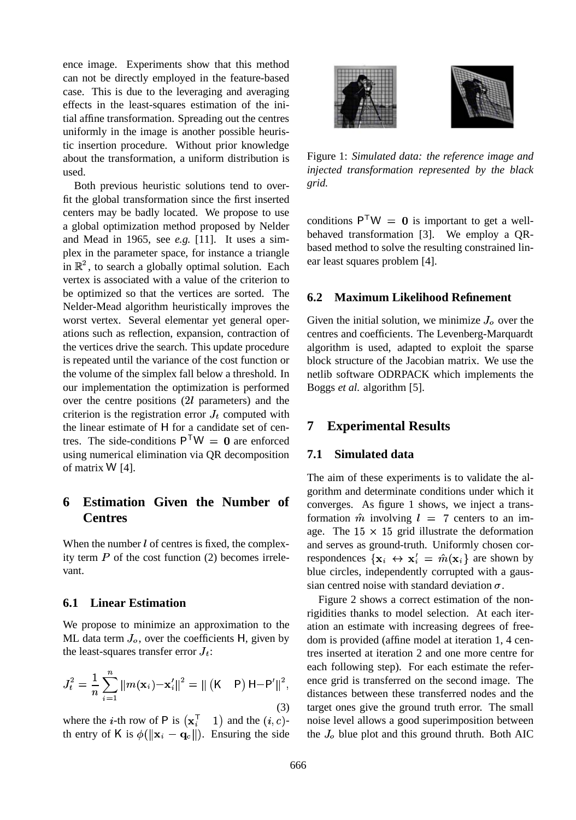ence image. Experiments show that this method can not be directly employed in the feature-based case. This is due to the leveraging and averaging effects in the least-squares estimation of the initial affine transformation. Spreading out the centres uniformly in the image is another possible heuristic insertion procedure. Without prior knowledge about the transformation, a uniform distribution is used.

Both previous heuristic solutions tend to overfit the global transformation since the first inserted centers may be badly located. We propose to use a global optimization method proposed by Nelder and Mead in 1965, see *e.g.* [11]. It uses a simplex in the parameter space, for instance a triangle in  $\mathbb{R}^2$ , to search a globally optimal solution. Each vertex is associated with a value of the criterion to be optimized so that the vertices are sorted. The Nelder-Mead algorithm heuristically improves the worst vertex. Several elementar yet general operations such as reflection, expansion, contraction of the vertices drive the search. This update procedure is repeated until the variance of the cost function or the volume of the simplex fall below a threshold. In our implementation the optimization is performed over the centre positions  $(2l)$  parameters) and the criterion is the registration error  $J_t$  computed with the linear estimate of H for a candidate set of centres. The side-conditions  $P^TW = 0$  are enforced using numerical elimination via QR decomposition of matrix  $W$  [4].

## **6 Estimation Given the Number of Centres**

When the number  $l$  of centres is fixed, the complexity term  $P$  of the cost function (2) becomes irrelevant.

#### **6.1 Linear Estimation**

We propose to minimize an approximation to the ML data term  $J<sub>o</sub>$ , over the coefficients H, given by the least-squares transfer error  $J_t$ :

$$
J_t^2 = \frac{1}{n} \sum_{i=1}^n ||m(\mathbf{x}_i) - \mathbf{x}'_i||^2 = ||(K \ P) H - P'||^2,
$$
\n(3)

where the *i*-th row of P is  $(\mathbf{x}_i^T \quad 1)$  and the  $(i, c)$ th entry of K is  $\phi(\|\mathbf{x}_i - \mathbf{q}_c\|)$ . Ensuring the side



Figure 1: *Simulated data: the reference image and injected transformation represented by the black grid.*

conditions  $P'W = 0$  is important to get a wellbehaved transformation [3]. We employ a QRbased method to solve the resulting constrained linear least squares problem [4].

#### **6.2 Maximum Likelihood Refinement**

Given the initial solution, we minimize  $J<sub>o</sub>$  over the centres and coefficients. The Levenberg-Marquardt algorithm is used, adapted to exploit the sparse block structure of the Jacobian matrix. We use the netlib software ODRPACK which implements the Boggs *et al.* algorithm [5].

#### **7 Experimental Results**

#### **7.1 Simulated data**

The aim of these experiments is to validate the algorithm and determinate conditions under which it converges. As figure 1 shows, we inject a transformation  $\hat{m}$  involving  $l = 7$  centers to an image. The  $15 \times 15$  grid illustrate the deformation and serves as ground-truth. Uniformly chosen correspondences  $\{x_i \leftrightarrow x'_i = \hat{m}(x_i)\}$  are shown by blue circles, independently corrupted with a gaussian centred noise with standard deviation  $\sigma$ .

distances between these transferred nodes and the ence grid is transferred on the second image. The Figure 2 shows a correct estimation of the nonrigidities thanks to model selection. At each iteration an estimate with increasing degrees of freedom is provided (affine model at iteration 1, 4 centres inserted at iteration 2 and one more centre for each following step). For each estimate the refertarget ones give the ground truth error. The small noise level allows a good superimposition between the  $J<sub>o</sub>$  blue plot and this ground thruth. Both AIC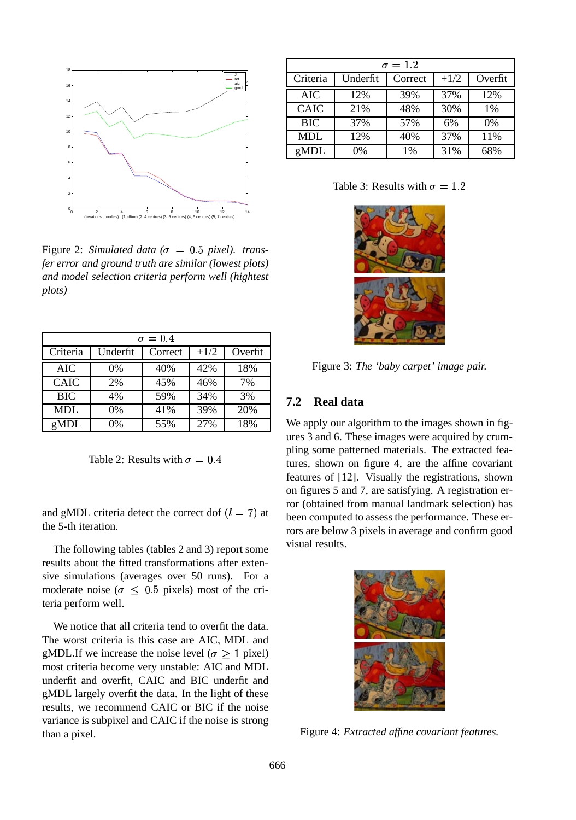

Figure 2: *Simulated data* ( $\sigma = 0.5$  pixel). trans*fer error and ground truth are similar (lowest plots) and model selection criteria perform well (hightest plots)*

| $\sigma = 0.4$ |          |         |        |         |  |  |
|----------------|----------|---------|--------|---------|--|--|
| Criteria       | Underfit | Correct | $+1/2$ | Overfit |  |  |
| AIC            | 0%       | 40%     | 42%    | 18%     |  |  |
| <b>CAIC</b>    | 2%       | 45%     | 46%    | 7%      |  |  |
| <b>BIC</b>     | 4%       | 59%     | 34%    | 3%      |  |  |
| MDL            | 0%       | 41%     | 39%    | 20%     |  |  |
| gMDL           | 0%       | 55%     | 27%    | 18%     |  |  |

Table 2: Results with  $\sigma = 0.4$ 

and gMDL criteria detect the correct dof  $(l = 7)$ the 5-th iteration.

The following tables (tables 2 and 3) report some results about the fitted transformations after extensive simulations (averages over 50 runs). For a moderate noise ( $\sigma \leq 0.5$  pixels) most of the criteria perform well.

We notice that all criteria tend to overfit the data. The worst criteria is this case are AIC, MDL and gMDL.If we increase the noise level ( $\sigma \geq 1$  pixel) most criteria become very unstable: AIC and MDL underfit and overfit, CAIC and BIC underfit and gMDL largely overfit the data. In the light of these results, we recommend CAIC or BIC if the noise variance is subpixel and CAIC if the noise is strong than a pixel.

| $\sigma = 1.2$ |          |         |        |         |  |  |
|----------------|----------|---------|--------|---------|--|--|
| Criteria       | Underfit | Correct | $+1/2$ | Overfit |  |  |
| <b>AIC</b>     | 12%      | 39%     | 37%    | 12%     |  |  |
| <b>CAIC</b>    | 21%      | 48%     | 30%    | 1%      |  |  |
| <b>BIC</b>     | 37%      | 57%     | 6%     | 0%      |  |  |
| MDL            | 12%      | 40%     | 37%    | 11%     |  |  |
| gMDL           | 0%       | 1%      | 31%    | 68%     |  |  |

Table 3: Results with  $\sigma = 1.2$ 



Figure 3: *The 'baby carpet' image pair.*

#### **7.2 Real data**

7) at been computed to assess the performance. These er-We apply our algorithm to the images shown in figures 3 and 6. These images were acquired by crumpling some patterned materials. The extracted features, shown on figure 4, are the affine covariant features of [12]. Visually the registrations, shown on figures 5 and 7, are satisfying. A registration error (obtained from manual landmark selection) has rors are below 3 pixels in average and confirm good visual results.



Figure 4: *Extracted affine covariant features.*